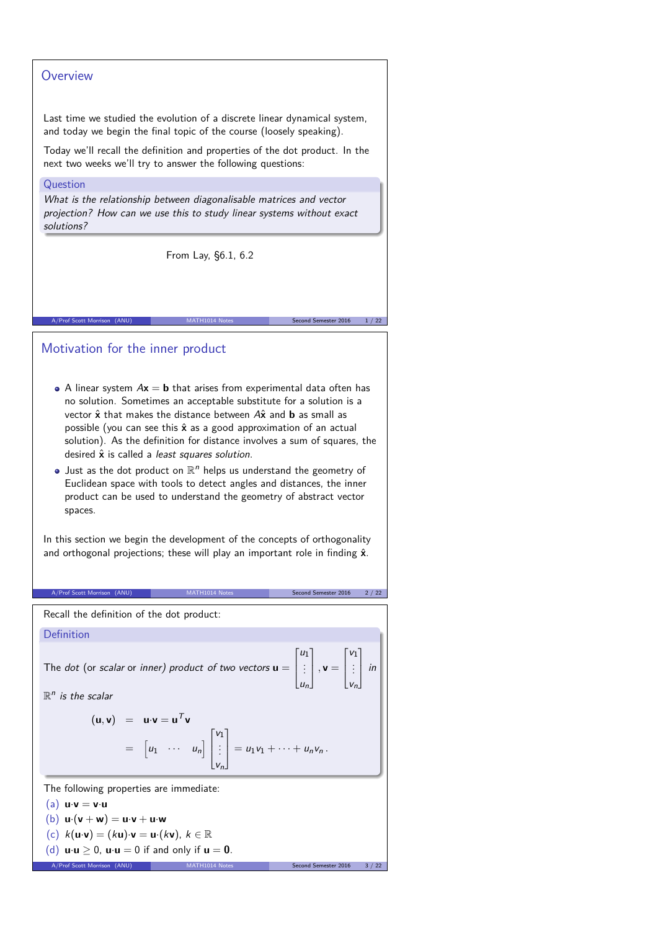## **Overview**

Last time we studied the evolution of a discrete linear dynamical system, and today we begin the final topic of the course (loosely speaking).

Today we'll recall the definition and properties of the dot product. In the next two weeks we'll try to answer the following questions:

### Question

What is the relationship between diagonalisable matrices and vector projection? How can we use this to study linear systems without exact solutions?

From Lay, §6.1, 6.2

# Motivation for the inner product

• A linear system  $Ax = b$  that arises from experimental data often has no solution. Sometimes an acceptable substitute for a solution is a vector  $\hat{x}$  that makes the distance between  $A\hat{x}$  and **b** as small as possible (you can see this  $\hat{x}$  as a good approximation of an actual solution). As the definition for distance involves a sum of squares, the desired  $\hat{x}$  is called a *least squares solution*.

A/Prof Scott Morrison (ANU) MATH1014 Notes Second Semester 2016 1/22

Just as the dot product on  $\mathbb{R}^n$  helps us understand the geometry of Euclidean space with tools to detect angles and distances, the inner product can be used to understand the geometry of abstract vector spaces.

In this section we begin the development of the concepts of orthogonality and orthogonal projections; these will play an important role in finding  $\hat{x}$ .

#### A/Prof Scott Morrison (ANU) MATH1014 Notes Second Semester 2016 2 / 22

Recall the definition of the dot product:

| Definition                                                                                                               |                                                                                                                                                                                                                                |                                                                                                                                                                                              |
|--------------------------------------------------------------------------------------------------------------------------|--------------------------------------------------------------------------------------------------------------------------------------------------------------------------------------------------------------------------------|----------------------------------------------------------------------------------------------------------------------------------------------------------------------------------------------|
| $\mathbb{R}^n$ is the scalar                                                                                             |                                                                                                                                                                                                                                | The dot (or scalar or inner) product of two vectors $\mathbf{u} = \begin{bmatrix} u_1 \\ \vdots \\ u_n \end{bmatrix}$ , $\mathbf{v} = \begin{bmatrix} v_1 \\ \vdots \\ v_n \end{bmatrix}$ in |
|                                                                                                                          |                                                                                                                                                                                                                                |                                                                                                                                                                                              |
|                                                                                                                          | $(\mathbf{u}, \mathbf{v})$ = $\mathbf{u} \cdot \mathbf{v} = \mathbf{u}^T \mathbf{v}$<br>= $\begin{bmatrix} u_1 & \cdots & u_n \end{bmatrix} \begin{bmatrix} v_1 \\ \vdots \\ v_n \end{bmatrix} = u_1 v_1 + \cdots + u_n v_n$ . |                                                                                                                                                                                              |
| The following properties are immediate:                                                                                  |                                                                                                                                                                                                                                |                                                                                                                                                                                              |
| (a) $\mathbf{u} \cdot \mathbf{v} = \mathbf{v} \cdot \mathbf{u}$                                                          |                                                                                                                                                                                                                                |                                                                                                                                                                                              |
| (b) $\mathbf{u} \cdot (\mathbf{v} + \mathbf{w}) = \mathbf{u} \cdot \mathbf{v} + \mathbf{u} \cdot \mathbf{w}$             |                                                                                                                                                                                                                                |                                                                                                                                                                                              |
| (c) $k(\mathbf{u} \cdot \mathbf{v}) = (k\mathbf{u}) \cdot \mathbf{v} = \mathbf{u} \cdot (k\mathbf{v}), k \in \mathbb{R}$ |                                                                                                                                                                                                                                |                                                                                                                                                                                              |
| (d) $\mathbf{u} \cdot \mathbf{u} \geq 0$ , $\mathbf{u} \cdot \mathbf{u} = 0$ if and only if $\mathbf{u} = \mathbf{0}$ .  |                                                                                                                                                                                                                                |                                                                                                                                                                                              |
| A/Prof Scott Morrison (ANU)                                                                                              | MATH1014 Notes                                                                                                                                                                                                                 | 3 / 22<br>Second Semester 2016                                                                                                                                                               |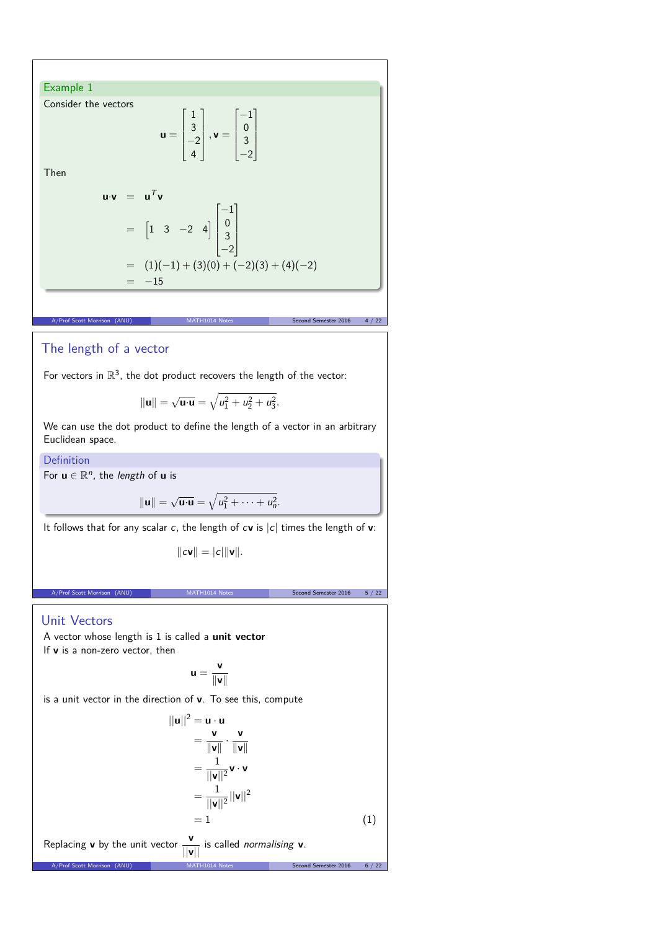## Example 1

Consider the vectors

$$
\mathbf{u} = \begin{bmatrix} 1 \\ 3 \\ -2 \\ 4 \end{bmatrix}, \mathbf{v} = \begin{bmatrix} -1 \\ 0 \\ 3 \\ -2 \end{bmatrix}
$$

Then

$$
\mathbf{u} \cdot \mathbf{v} = \mathbf{u}^T \mathbf{v}
$$
  
=  $\begin{bmatrix} 1 & 3 & -2 & 4 \end{bmatrix} \begin{bmatrix} -1 \\ 0 \\ 3 \\ -2 \end{bmatrix}$   
=  $(1)(-1) + (3)(0) + (-2)(3) + (4)(-2)$   
=  $-15$ 

# The length of a vector

For vectors in  $\mathbb{R}^3$ , the dot product recovers the length of the vector:

$$
\|\mathbf{u}\|=\sqrt{\mathbf{u}\cdot\mathbf{u}}=\sqrt{u_1^2+u_2^2+u_3^2}.
$$

A/Prof Scott Morrison (ANU) MATH1014 Notes Second Semester 2016 4 / 22

We can use the dot product to define the length of a vector in an arbitrary Euclidean space.

**Definition** 

For  $\mathbf{u} \in \mathbb{R}^n$ , the *length* of  $\mathbf{u}$  is

$$
\|\mathbf{u}\|=\sqrt{\mathbf{u}\cdot\mathbf{u}}=\sqrt{u_1^2+\cdots+u_n^2}.
$$

It follows that for any scalar c, the length of  $c$ **v** is  $|c|$  times the length of **v**:

$$
\|\mathbf{cv}\| = |\mathbf{c}|\|\mathbf{v}\|.
$$

A/Prof Scott Morrison (ANU) MATH1014 Notes Second Semester 2016 5 / 22

## Unit Vectors

A vector whose length is 1 is called a **unit vector** If **v** is a non-zero vector, then

$$
u=\frac{v}{\|v\|}
$$

A/Prof Scott Morrison (ANU) MATH1014 Notes Second Semester 2016 6 / 22

is a unit vector in the direction of **v**. To see this, compute

$$
||\mathbf{u}||^2 = \mathbf{u} \cdot \mathbf{u}
$$
  
=  $\frac{\mathbf{v}}{\|\mathbf{v}\|} \cdot \frac{\mathbf{v}}{\|\mathbf{v}\|}$   
=  $\frac{1}{||\mathbf{v}||^2} \mathbf{v} \cdot \mathbf{v}$   
=  $\frac{1}{||\mathbf{v}||^2} ||\mathbf{v}||^2$   
= 1 (1)

Replacing **v** by the unit vector  $\frac{v}{||v||}$  is called *normalising* **v**.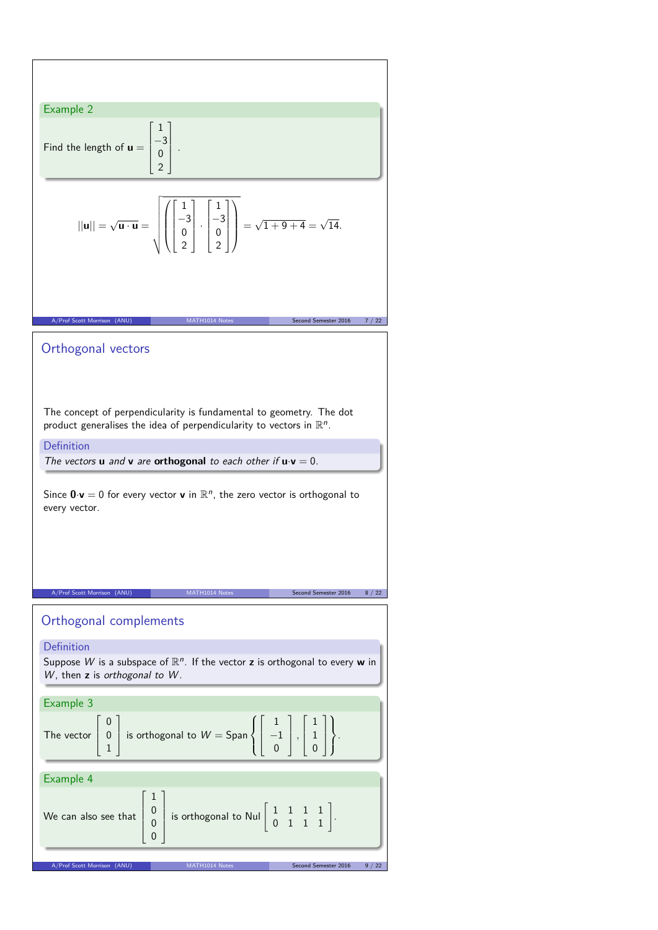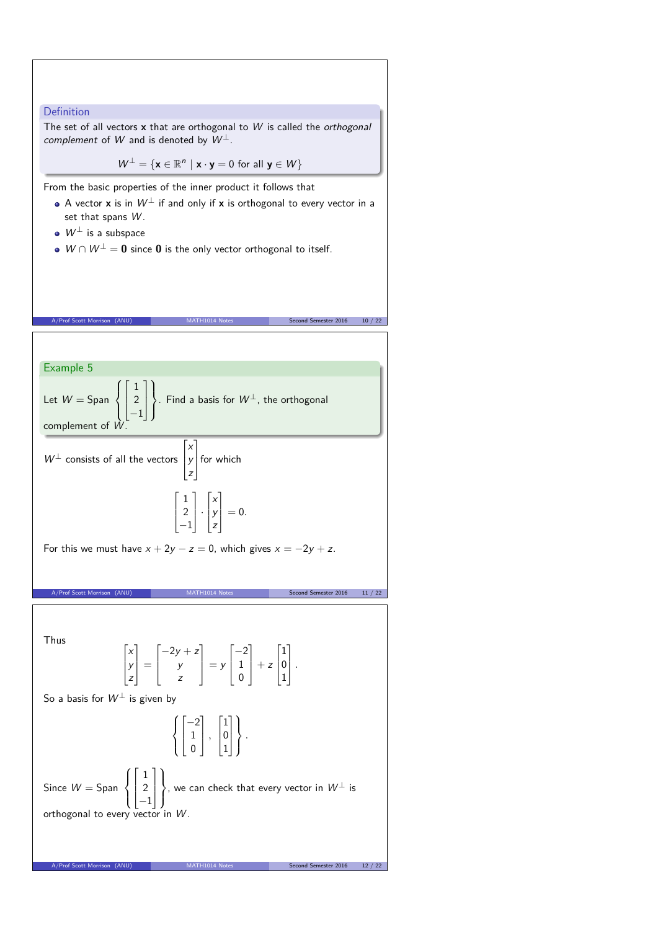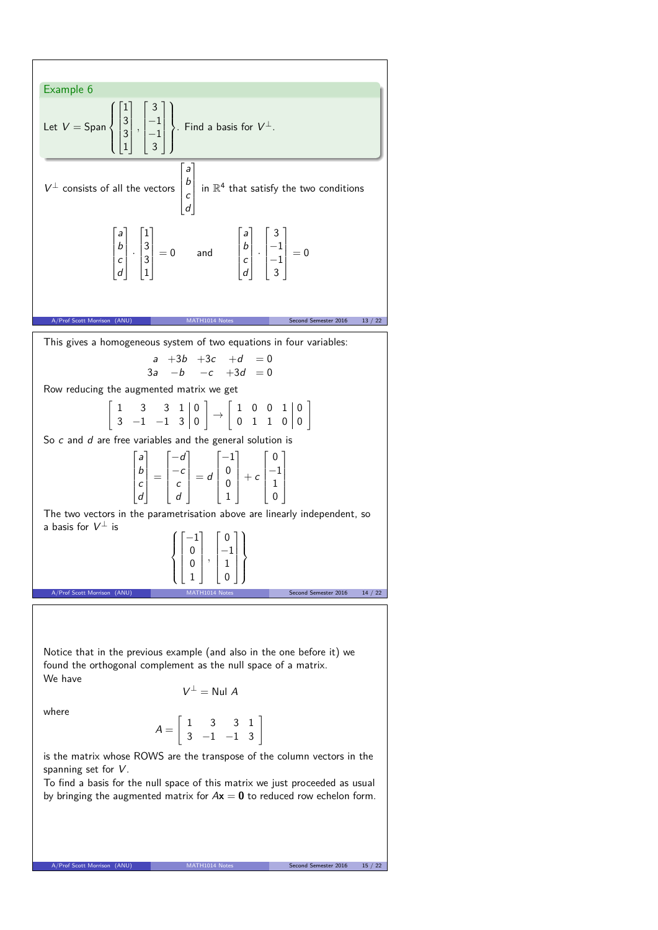

To find a basis for the null space of this matrix we just proceeded as usual by bringing the augmented matrix for  $A\mathbf{x} = \mathbf{0}$  to reduced row echelon form.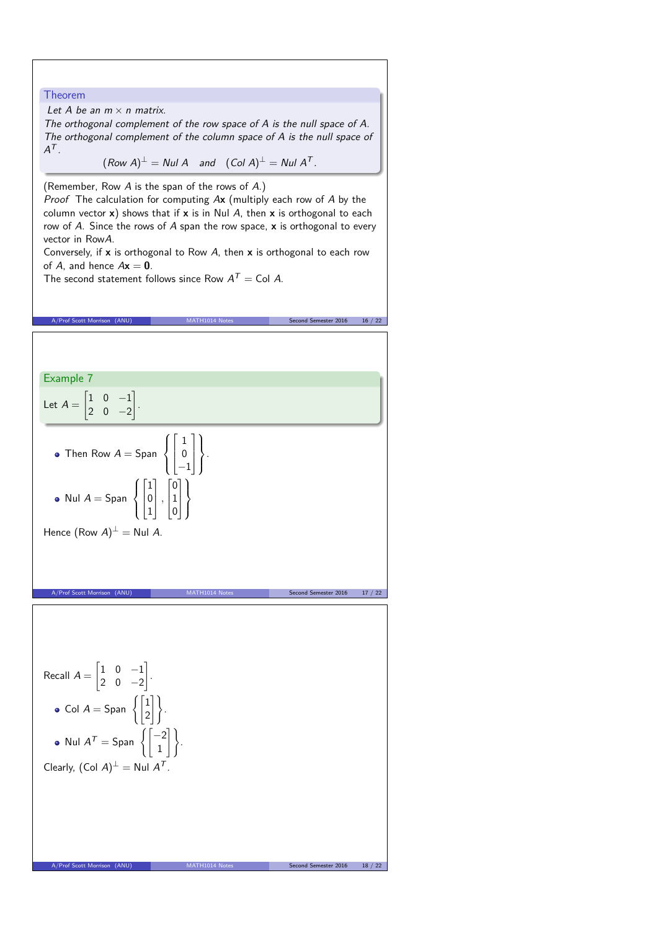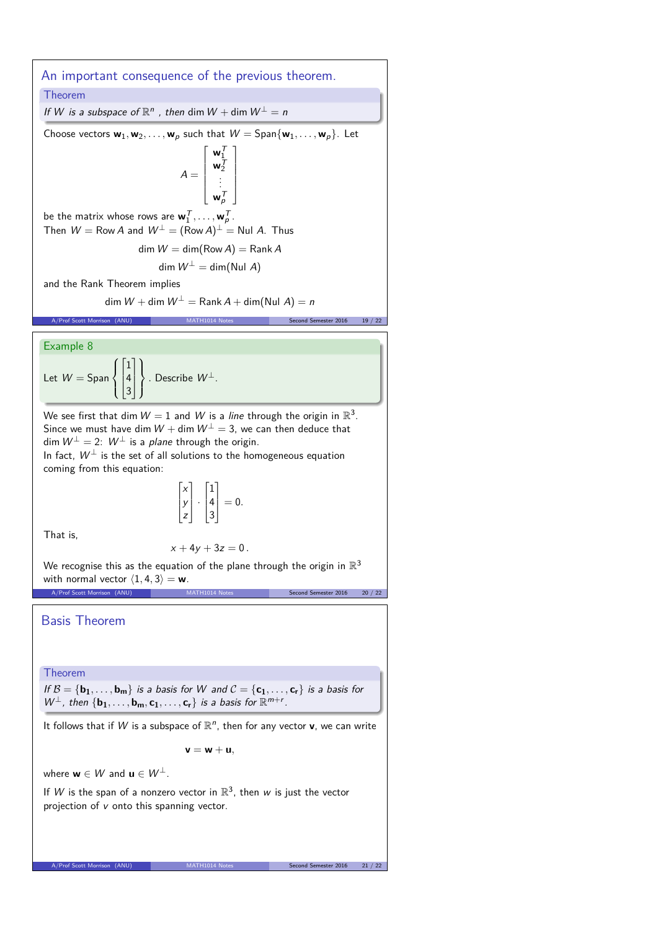